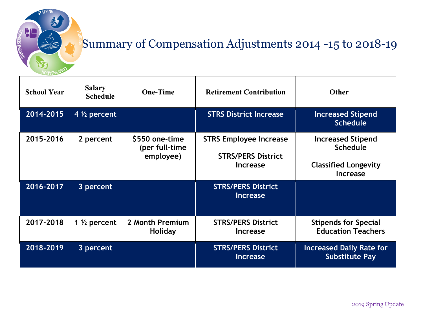

## Summary of Compensation Adjustments 2014 -15 to 2018-19

| <b>School Year</b> | <b>Salary</b><br><b>Schedule</b> | <b>One-Time</b>                               | <b>Retirement Contribution</b>                                                | <b>Other</b>                                                                                  |
|--------------------|----------------------------------|-----------------------------------------------|-------------------------------------------------------------------------------|-----------------------------------------------------------------------------------------------|
| 2014-2015          | 4 $\frac{1}{2}$ percent          |                                               | <b>STRS District Increase</b>                                                 | <b>Increased Stipend</b><br><b>Schedule</b>                                                   |
| 2015-2016          | 2 percent                        | \$550 one-time<br>(per full-time<br>employee) | <b>STRS Employee Increase</b><br><b>STRS/PERS District</b><br><b>Increase</b> | <b>Increased Stipend</b><br><b>Schedule</b><br><b>Classified Longevity</b><br><b>Increase</b> |
| 2016-2017          | 3 percent                        |                                               | <b>STRS/PERS District</b><br><b>Increase</b>                                  |                                                                                               |
| 2017-2018          | 1 $\frac{1}{2}$ percent          | 2 Month Premium<br><b>Holiday</b>             | <b>STRS/PERS District</b><br><b>Increase</b>                                  | <b>Stipends for Special</b><br><b>Education Teachers</b>                                      |
| 2018-2019          | 3 percent                        |                                               | <b>STRS/PERS District</b><br><b>Increase</b>                                  | <b>Increased Daily Rate for</b><br><b>Substitute Pay</b>                                      |